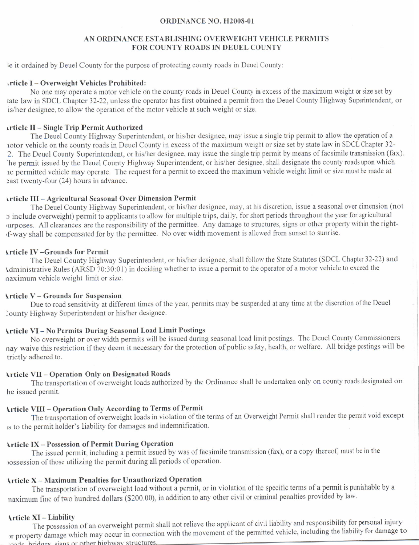### ORDINANCE NO. H2008-01

### AN ORDINANCE ESTABLISHING OVERWEIGHT VEHICLE PERMITS FOR COUNTY ROADS IN DEUEL COUNTY

ie it ordained by Deuel County for the purpose of protecting county roads in Deuel County:

### \rticle I - Overw'eight Vehicles Prohibited:

No one may operate a motor vehicle on the county roads in Deuel County in excess of the maximum weight or size set by tate law in SDCL Chapter 32-22, unless the operator has first obtained a permit from the Deuel County Highway Superintendent, or is/her designee, to allow the operation of the motor vehicle at such weight or size.

### irticle II - Single Trip Permit Authorized

The Deuel County Highway Superintendent, or his/her designee, may issue a single trip permit to allow the operation of a notor vehicle on the county roads in Deuel County in excess of the maximum weight or size set by state law in SDCL Chapter 32-2. The Deuel County Superintendent, or his/her designee, may issue the single trip permit by means of facsimile transmission (fax). 'he permit issued by the Deuel County Highway Superintendent, or his/her designee, shall designate the county roads upon which re permitted vehicle may operate. The request for a permit to exceed the maximum vehicle weight limit or size must be made at east twenty-four (24) hours in advance.

### rrticle III - Agricultural Seasonal Over Dimension Permit

The Deuel County Highway Superintendent, or his/her designee, may, at his discretion, issue a seasonal over dimension (not r include overweight) pennit to applicants to allow for multiple trips, daily, for short periods throughout the year for agricultural urposes. All clearances are the responsibility of the permittee. Any damage to structures, signs or other property within the right-,f-way shall be compensated for by the permittee. No over width rnovement is allcwed from sunset to sunrise.

### \rticle lV -Grounds for Permit

The Deuel County Highway Superintendent, or his/her designee, shall follow the State Statutes (SDCL Chapter 32-22) and Administrative Rules (ARSD 70:30:01) in deciding whether to issue a permit to the operator of a motor vehicle to exceed the naximum vehicle weight limit or size.

### \rticle V - Grounds for Suspension

Due to road sensitivity at different times of the year, permits may be suspended at any time at the discretion of the Deuel )ounty Highway Superintendent or his/her designee.

## \rticle VI - No Permits During Seasonal Load Limit Postings

No overweight or over width permits will be issued during seasonal load lirnit postings. The Deuel County Commissioners nay waive this restriction if they deem it necessary for the protection of public safety, health, or welfare. All bridge postings will be trictly adhered to.

### **Article VII - Operation Only on Designated Roads**

The transportation of overweight loads authorized by the Ordinance shall be undertaken only on county roads designated on he issued permit.

## \rticle VIII - Op€ration Only According to Terrns of Permit

The transportation of overweight loads in violation of the terms of an Overweight Permit shall render the permit void except rs to the permit holder's liability for damages and indemnification.

### lrticle IX - Possession of Permit During Operation

The issued permit, including a permit issued by was of facsimile transmission (fax), or a copy thereof, must be in the rossession of those utilizing the permit during all periods of operation.

# \rticle X - Maximum Penalties for Unauthorized Operation

The transportation of overweight load without a permit, or in violation of the specific terms of a permit is punishable by a naximum fine of two hundred dollars (\$200.00), in addition to any other civil or criminal penalties provided by law.

#### \rticle XI - Liability

The possession of an overweight permit shall not relieve the applicant of civil liability and responsibility for personal injury I he possession of an overweight permit shart here will be movement of the permitted vehicle, including the liability for damage to<br>I property damage which may occur in connection with the movement of the permitted vehicle <sup>1</sup> property dailing which may be can be